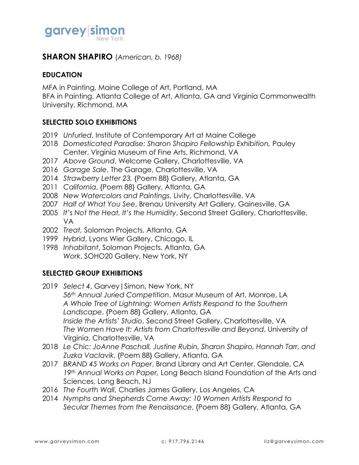

### **SHARON SHAPIRO** (*American, b. 1968)*

#### **EDUCATION**

MFA in Painting, Maine College of Art, Portland, MA

BFA in Painting, Atlanta College of Art, Atlanta, GA and Virginia Commonwealth University, Richmond, MA

### **SELECTED SOLO EXHIBITIONS**

- 2019 *Unfurled*, Institute of Contemporary Art at Maine College
- 2018 *Domesticated Paradise: Sharon Shapiro Fellowship Exhibition,* Pauley Center, Virginia Museum of Fine Arts, Richmond, VA
- 2017 *Above Ground*, Welcome Gallery, Charlottesville, VA
- 2016 *Garage Sale*, The Garage, Charlottesville, VA
- 2014 *Strawberry Letter 23,* {Poem 88} Gallery, Atlanta, GA
- 2011 *California*, {Poem 88} Gallery, Atlanta, GA
- 2008 *New Watercolors and Paintings*, Livity, Charlottesville, VA
- 2007 *Half of What You See*, Brenau University Art Gallery, Gainesville, GA
- 2005 *It's Not the Heat, It's the Humidity*, Second Street Gallery, Charlottesville, VA
- 2002 *Treat,* Soloman Projects, Atlanta, GA
- 1999 *Hybrid*, Lyons Wier Gallery, Chicago, IL
- 1998 *Inhabitant*, Soloman Projects, Atlanta, GA *Work*, SOHO20 Gallery, New York, NY

### **SELECTED GROUP EXHIBITIONS**

- 2019 *Select 4*, Garvey|Simon, New York, NY *56th Annual Juried Competition*, Masur Museum of Art, Monroe, LA *A Whole Tree of Lightning: Women Artists Respond to the Southern Landscape*, {Poem 88} Gallery, Atlanta, GA *Inside the Artists' Studio*, Second Street Gallery, Charlottesville, VA *The Women Have It: Artists from Charlottesville and Beyond*, University of Virginia, Charlottesville, VA
- 2018 *Le Chic: JoAnne Paschall, Justine Rubin, Sharon Shapiro, Hannah Tarr, and Zuzka Vaclavik*, {Poem 88} Gallery, Atlanta, GA
- 2017 *BRAND 45 Works on Paper*, Brand Library and Art Center, Glendale, CA *19th Annual Works on Paper,* Long Beach Island Foundation of the Arts and Sciences, Long Beach, NJ
- 2016 *The Fourth Wall*, Charlies James Gallery, Los Angeles, CA
- 2014 *Nymphs and Shepherds Come Away: 10 Women Artists Respond to Secular Themes from the Renaissance*, {Poem 88} Gallery, Atlanta, GA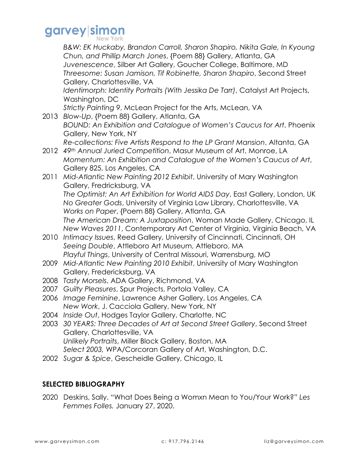### garvey simon

**B&W: EK Huckaby, Brandon Carroll, Sharon Shapiro, Nikita Gale, In Kyoung** *Chun, and Phillip March Jones*, {Poem 88} Gallery, Atlanta, GA *Juvenescence*, Silber Art Gallery, Goucher College, Baltimore, MD *Threesome: Susan Jamison, Tif Robinette, Sharon Shapiro*, Second Street Gallery, Charlottesville, VA *Identimorph: Identity Portraits (With Jessika De Tarr)*, Catalyst Art Projects, Washington, DC *Strictly Painting 9*, McLean Project for the Arts, McLean, VA 2013 *Blow-Up*, {Poem 88} Gallery, Atlanta, GA *BOUND: An Exhibition and Catalogue of Women's Caucus for Art*, Phoenix Gallery, New York, NY *Re-collections: Five Artists Respond to the LP Grant Mansion*, Altanta, GA 2012 *49th Annual Juried Competition*, Masur Museum of Art, Monroe, LA *Momentum: An Exhibition and Catalogue of the Women's Caucus of Art*, Gallery 825, Los Angeles, CA 2011 *Mid-Atlantic New Painting 2012 Exhibit*, University of Mary Washington Gallery, Fredricksburg, VA *The Optimist: An Art Exhibition for World AIDS Day*, East Gallery, London, UK *No Greater Gods*, University of Virginia Law Library, Charlottesville, VA *Works on Paper*, {Poem 88} Gallery, Atlanta, GA *The American Dream: A Juxtaposition*, Woman Made Gallery, Chicago, IL *New Waves 2011*, Contemporary Art Center of Virginia, Virginia Beach, VA 2010 *Intimacy Issues*, Reed Gallery, University of Cincinnati, Cincinnati, OH *Seeing Double*, Attleboro Art Museum, Attleboro, MA *Playful Things*, University of Central Missouri, Warrensburg, MO 2009 *Mid-Atlantic New Painting 2010 Exhibit*, University of Mary Washington Gallery, Fredericksburg, VA 2008 *Tasty Morsels*, ADA Gallery, Richmond, VA 2007 *Guilty Pleasures*, Spur Projects, Portola Valley, CA 2006 *Image Feminine*, Lawrence Asher Gallery, Los Angeles, CA *New Work*, J. Cacciola Gallery, New York, NY 2004 *Inside Out*, Hodges Taylor Gallery, Charlotte, NC 2003 *30 YEARS: Three Decades of Art at Second Street Gallery*, Second Street Gallery, Charlottesville, VA *Unlikely Portraits*, Miller Block Gallery, Boston, MA *Select 2003,* WPA/Corcoran Gallery of Art, Washington, D.C. 2002 *Sugar & Spice*, Gescheidle Gallery, Chicago, IL

### **SELECTED BIBLIOGRAPHY**

2020 Deskins, Sally. "What Does Being a Womxn Mean to You/Your Work?" *Les Femmes Folles.* January 27, 2020.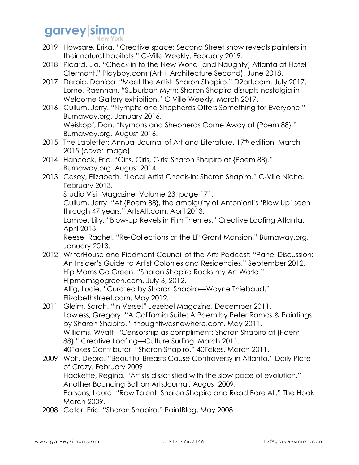## garvey simon

- 2019 Howsare, Erika. "Creative space: Second Street show reveals painters in their natural habitats." C-Ville Weekly. February 2019.
- 2018 Picard, Lia. "Check in to the New World (and Naughty) Atlanta at Hotel Clermont." Playboy.com (Art + Architecture Second). June 2018.
- 2017 Derpic, Danica. "Meet the Artist: Sharon Shapiro." D2art.com. July 2017. Lorne, Raennah. "Suburban Myth: Sharon Shapiro disrupts nostalgia in Welcome Gallery exhibition." C-Ville Weekly. March 2017.
- 2016 Cullum, Jerry. "Nymphs and Shepherds Offers Something for Everyone." Burnaway.org. January 2016. Weiskopf, Dan. "Nymphs and Shepherds Come Away at {Poem 88}." Burnaway.org. August 2016.
- 2015 The Labletter: Annual Journal of Art and Literature. 17th edition, March 2015 (cover image)
- 2014 Hancock, Eric. "Girls, Girls, Girls: Sharon Shapiro at {Poem 88}." Burnaway.org. August 2014.
- 2013 Casey, Elizabeth. "Local Artist Check-In: Sharon Shapiro." C-Ville Niche. February 2013.

Studio Visit Magazine, Volume 23, page 171.

Cullum, Jerry. "At {Poem 88}, the ambiguity of Antonioni's 'Blow Up' seen through 47 years." ArtsAtl.com. April 2013.

Lampe, Lilly. "Blow-Up Revels in Film Themes." Creative Loafing Atlanta. April 2013.

Reese, Rachel. "Re-Collections at the LP Grant Mansion." Burnaway.org. January 2013.

- 2012 WriterHouse and Piedmont Council of the Arts Podcast: "Panel Discussion: An Insider's Guide to Artist Colonies and Residencies." September 2012. Hip Moms Go Green. "Sharon Shapiro Rocks my Art World." Hipmomsgogreen.com. July 3, 2012. Allig, Lucie. "Curated by Sharon Shapiro—Wayne Thiebaud." Elizabethstreet.com. May 2012.
- 2011 Gleim, Sarah. "In Verse!" Jezebel Magazine. December 2011. Lawless, Gregory. "A California Suite: A Poem by Peter Ramos & Paintings by Sharon Shapiro." Ithoughtiwasnewhere.com. May 2011. Williams, Wyatt. "Censorship as compliment: Sharon Shapiro at {Poem 88}." Creative Loafing—Culture Surfing. March 2011. 40Fakes Contributor. "Sharon Shapiro." 40Fakes. March 2011.
- 2009 Wolf, Debra. "Beautiful Breasts Cause Controversy in Atlanta." Daily Plate of Crazy. February 2009. Hackette, Regina. "Artists dissatisfied with the slow pace of evolution." Another Bouncing Ball on ArtsJournal. August 2009. Parsons, Laura. "Raw Talent: Sharon Shapiro and Read Bare All." The Hook. March 2009.
- 2008 Cator, Eric. "Sharon Shapiro." PaintBlog. May 2008.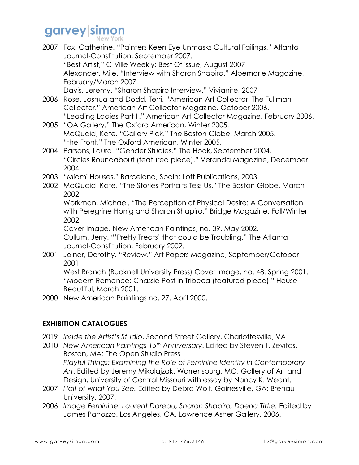# garvey sil

|      | 2007 Fox, Catherine. "Painters Keen Eye Unmasks Cultural Failings." Atlanta |
|------|-----------------------------------------------------------------------------|
|      | Journal-Constitution, September 2007.                                       |
|      | "Best Artist," C-Ville Weekly: Best Of issue, August 2007                   |
|      | Alexander, Mile. "Interview with Sharon Shapiro." Albemarle Magazine,       |
|      | February/March 2007.                                                        |
|      | Davis, Jeremy. "Sharon Shapiro Interview." Vivianite, 2007                  |
| 2006 | Rose, Joshua and Dodd, Terri. "American Art Collector: The Tullman          |
|      | Collector." American Art Collector Magazine. October 2006.                  |
|      | "Leading Ladies Part II." American Art Collector Magazine, February 2006.   |
|      | 2005 "OA Gallery." The Oxford American, Winter 2005.                        |
|      | McQuaid, Kate. "Gallery Pick." The Boston Globe, March 2005.                |
|      | "the Front." The Oxford American, Winter 2005.                              |
|      | 2004 Parsons, Laura. "Gender Studies." The Hook, September 2004.            |
|      | "Circles Roundabout (featured piece)." Veranda Magazine, December           |
|      | 2004.                                                                       |

- 2003 "Miami Houses." Barcelona, Spain: Loft Publications, 2003.
- 2002 McQuaid, Kate, "The Stories Portraits Tess Us." The Boston Globe, March 2002.

Workman, Michael. "The Perception of Physical Desire: A Conversation with Peregrine Honig and Sharon Shapiro." Bridge Magazine, Fall/Winter 2002.

Cover Image. New American Paintings, no. 39. May 2002.

Cullum, Jerry. "'Pretty Treats' that could be Troubling." The Atlanta Journal-Constitution, February 2002.

2001 Joiner, Dorothy. "Review." Art Papers Magazine, September/October 2001.

West Branch (Bucknell University Press) Cover Image, no. 48. Spring 2001. "Modern Romance: Chassie Post in Tribeca (featured piece)." House Beautiful, March 2001.

2000 New American Paintings no. 27. April 2000.

### **EXHIBITION CATALOGUES**

- 2019 *Inside the Artist's Studio*, Second Street Gallery, Charlottesville, VA
- 2010 *New American Paintings 15th Anniversary*. Edited by Steven T, Zevitas. Boston, MA: The Open Studio Press *Playful Things: Examining the Role of Feminine Identity in Contemporary Art*. Edited by Jeremy Mikolajzak. Warrensburg, MO: Gallery of Art and Design, University of Central Missouri with essay by Nancy K. Weant.
- 2007 *Half of what You See.* Edited by Debra Wolf. Gainesville, GA: Brenau University, 2007.
- 2006 *Image Feminine: Laurent Dareau, Sharon Shapiro, Daena Tittle.* Edited by James Panozzo. Los Angeles, CA, Lawrence Asher Gallery, 2006.